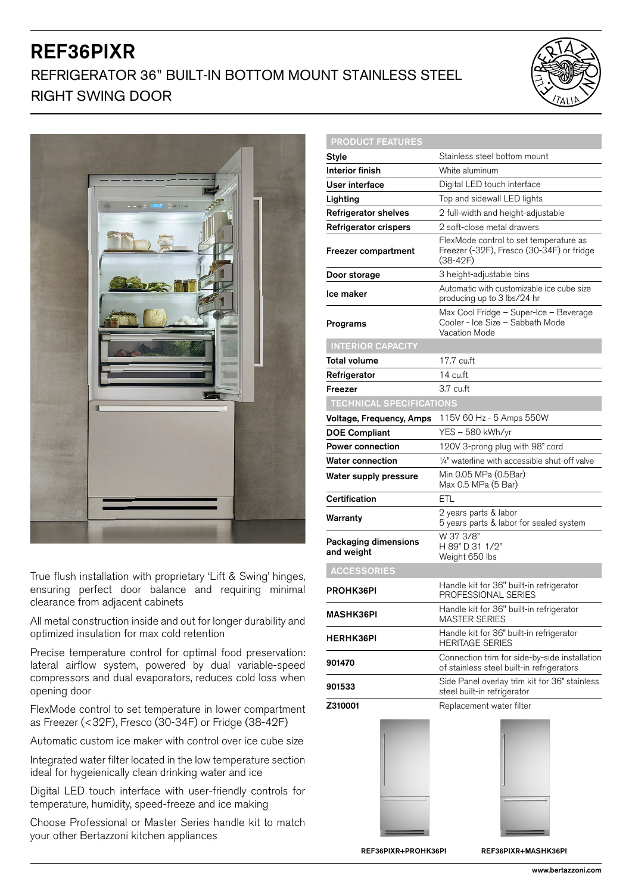## REF36PIXR REFRIGERATOR 36" BUILT-IN BOTTOM MOUNT STAINLESS STEEL RIGHT SWING DOOR





True flush installation with proprietary 'Lift & Swing' hinges, ensuring perfect door balance and requiring minimal clearance from adjacent cabinets

All metal construction inside and out for longer durability and optimized insulation for max cold retention

Precise temperature control for optimal food preservation: lateral airflow system, powered by dual variable-speed compressors and dual evaporators, reduces cold loss when opening door

FlexMode control to set temperature in lower compartment as Freezer (<32F), Fresco (30-34F) or Fridge (38-42F)

Automatic custom ice maker with control over ice cube size

Integrated water filter located in the low temperature section ideal for hygeienically clean drinking water and ice

Digital LED touch interface with user-friendly controls for temperature, humidity, speed-freeze and ice making

Choose Professional or Master Series handle kit to match your other Bertazzoni kitchen appliances

| <b>PRODUCT FEATURES</b>            |                                                                                                   |
|------------------------------------|---------------------------------------------------------------------------------------------------|
| Style                              | Stainless steel bottom mount                                                                      |
| <b>Interior finish</b>             | White aluminum                                                                                    |
| User interface                     | Digital LED touch interface                                                                       |
| Lighting                           | Top and sidewall LED lights                                                                       |
| <b>Refrigerator shelves</b>        | 2 full-width and height-adjustable                                                                |
| <b>Refrigerator crispers</b>       | 2 soft-close metal drawers                                                                        |
| <b>Freezer compartment</b>         | FlexMode control to set temperature as<br>Freezer (-32F), Fresco (30-34F) or fridge<br>$(38-42F)$ |
| Door storage                       | 3 height-adjustable bins                                                                          |
| Ice maker                          | Automatic with customizable ice cube size<br>producing up to 3 lbs/24 hr                          |
| Programs                           | Max Cool Fridge - Super-Ice - Beverage<br>Cooler - Ice Size - Sabbath Mode<br>Vacation Mode       |
| <b>INTERIOR CAPACITY</b>           |                                                                                                   |
| Total volume                       | 17.7 cu.ft                                                                                        |
| Refrigerator                       | 14 cu.ft                                                                                          |
| Freezer                            | $3.7 \text{ cut}$                                                                                 |
| <b>TECHNICAL SPECIFICATIONS</b>    |                                                                                                   |
| <b>Voltage, Frequency, Amps</b>    | 115V 60 Hz - 5 Amps 550W                                                                          |
| <b>DOE Compliant</b>               | YES - 580 kWh/yr                                                                                  |
| <b>Power connection</b>            | 120V 3-prong plug with 98" cord                                                                   |
| <b>Water connection</b>            | 1/4" waterline with accessible shut-off valve                                                     |
| Water supply pressure              | Min 0.05 MPa (0.5Bar)<br>Max 0.5 MPa (5 Bar)                                                      |
| Certification                      | ETL                                                                                               |
| Warranty                           | 2 years parts & labor<br>5 years parts & labor for sealed system                                  |
| Packaging dimensions<br>and weight | W 37 3/8"<br>H 89" D 31 1/2"<br>Weight 650 lbs                                                    |
| <b>ACCESSORIES</b>                 |                                                                                                   |
| PROHK36PI                          | Handle kit for 36" built-in refrigerator<br>PROFESSIONAL SERIES                                   |
| <b>MASHK36PI</b>                   | Handle kit for 36" built-in refrigerator<br><b>MASTER SERIES</b>                                  |
| <b>HERHK36PI</b>                   | Handle kit for 36" built-in refrigerator<br><b>HERITAGE SERIES</b>                                |
| 901470                             | Connection trim for side-by-side installation<br>of stainless steel built-in refrigerators        |
| 901533                             | Side Panel overlay trim kit for 36" stainless<br>steel built-in refrigerator                      |
| Z310001                            | Replacement water filter                                                                          |
|                                    |                                                                                                   |

REF36PIXR+PROHK36PI REF36PIXR+MASHK36PI